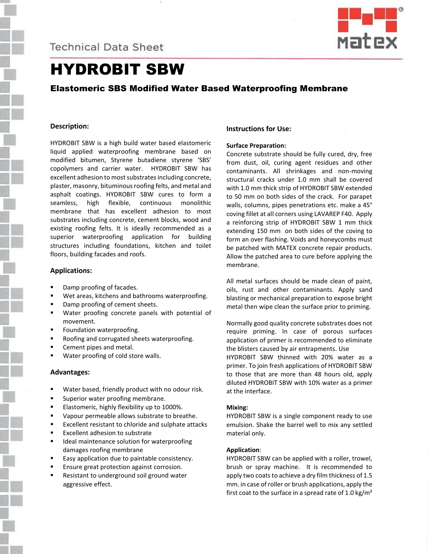**Technical Data Sheet** 



# HYDROBIT SBW

# Elastomeric SBS Modified Water Based Waterproofing Membrane

## **Description:**

HYDROBIT SBW is a high build water based elastomeric liquid applied waterproofing membrane based on modified bitumen, Styrene butadiene styrene 'SBS' copolymers and carrier water. HYDROBIT SBW has excellent adhesion to most substrates including concrete, plaster, masonry, bituminous roofing felts, and metal and asphalt coatings. HYDROBIT SBW cures to form a seamless, high flexible, continuous monolithic membrane that has excellent adhesion to most substrates including concrete, cement blocks, wood and existing roofing felts. It is ideally recommended as a superior waterproofing application for building structures including foundations, kitchen and toilet floors, building facades and roofs.

#### **Applications:**

- Damp proofing of facades.
- Wet areas, kitchens and bathrooms waterproofing.
- Damp proofing of cement sheets.
- Water proofing concrete panels with potential of movement.
- Foundation waterproofing.
- Roofing and corrugated sheets waterproofing.
- Cement pipes and metal.
- Water proofing of cold store walls.

#### **Advantages:**

- Water based, friendly product with no odour risk.
- Superior water proofing membrane.
- Elastomeric, highly flexibility up to 1000%.
- Vapour permeable allows substrate to breathe.
- Excellent resistant to chloride and sulphate attacks
- Excellent adhesion to substrate
- Ideal maintenance solution for waterproofing damages roofing membrane
- Easy application due to paintable consistency.
- Ensure great protection against corrosion.
- Resistant to underground soil ground water aggressive effect.

# **Instructions for Use:**

#### **Surface Preparation:**

Concrete substrate should be fully cured, dry, free from dust, oil, curing agent residues and other contaminants. All shrinkages and non-moving structural cracks under 1.0 mm shall be covered with 1.0 mm thick strip of HYDROBIT SBW extended to 50 mm on both sides of the crack. For parapet walls, columns, pipes penetrations etc. make a 45° coving fillet at all corners using LAVAREP F40. Apply a reinforcing strip of HYDROBIT SBW 1 mm thick extending 150 mm on both sides of the coving to form an over flashing. Voids and honeycombs must be patched with MATEX concrete repair products. Allow the patched area to cure before applying the membrane.

All metal surfaces should be made clean of paint, oils, rust and other contaminants. Apply sand blasting or mechanical preparation to expose bright metal then wipe clean the surface prior to priming.

Normally good quality concrete substrates does not require priming. In case of porous surfaces application of primer is recommended to eliminate the blisters caused by air entrapments. Use HYDROBIT SBW thinned with 20% water as a primer. To join fresh applications of HYDROBIT SBW to those that are more than 48 hours old, apply diluted HYDROBIT SBW with 10% water as a primer at the interface.

#### **Mixing:**

HYDROBIT SBW is a single component ready to use emulsion. Shake the barrel well to mix any settled material only.

#### **Application**:

HYDROBIT SBW can be applied with a roller, trowel, brush or spray machine. It is recommended to apply two coats to achieve a dry film thickness of 1.5 mm. in case of roller or brush applications, apply the first coat to the surface in a spread rate of 1.0 kg/ $m<sup>2</sup>$